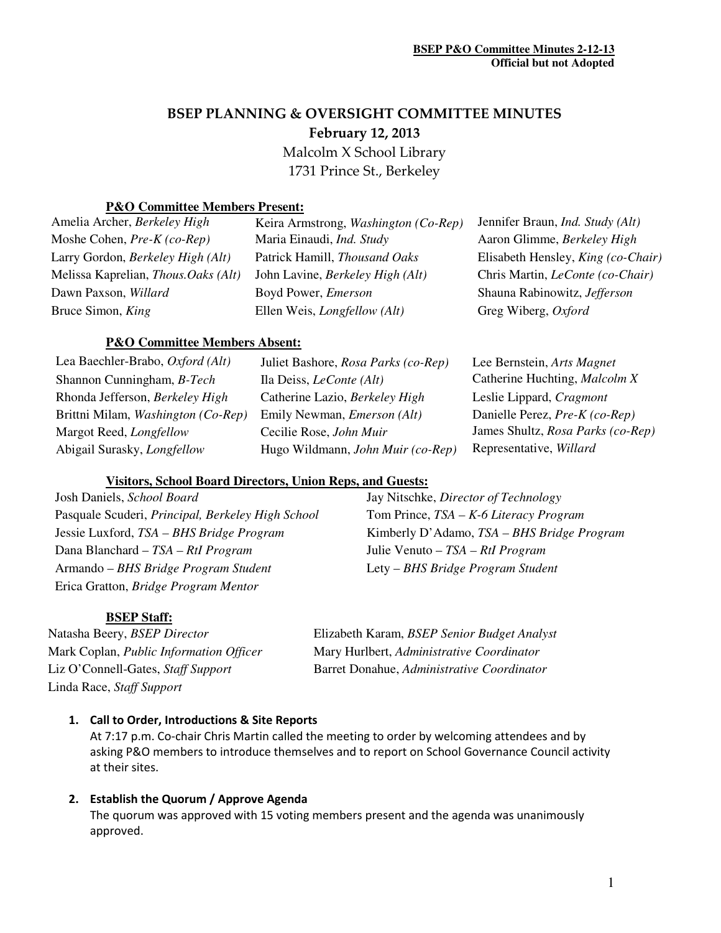# BSEP PLANNING & OVERSIGHT COMMITTEE MINUTES February 12, 2013

 Malcolm X School Library 1731 Prince St., Berkeley

## **P&O Committee Members Present:**

| Amelia Archer, <i>Berkeley High</i>       |
|-------------------------------------------|
| Moshe Cohen, $Pre-K (co-Rep)$             |
| Larry Gordon, Berkeley High (Alt)         |
| Melissa Kaprelian, <i>Thous.Oaks</i> (Alt |
| Dawn Paxson, Willard                      |
| Bruce Simon, King                         |

Keira Armstrong, *Washington (Co-Rep)* Jennifer Braun, *Ind. Study (Alt)* Moshe Cohen, *Pre-K (co-Rep)* Maria Einaudi, *Ind. Study* Aaron Glimme, *Berkeley High* Patrick Hamill, *Thousand Oaks* Elisabeth Hensley, *King (co-Chair)* John Lavine, *Berkeley High (Alt)* Chris Martin, *LeConte (co-Chair)* Boyd Power, *Emerson* **Shauna Rabinowitz**, *Jefferson* Ellen Weis, *Longfellow* (Alt) Greg Wiberg, *Oxford* 

# **P&O Committee Members Absent:**

| Lea Baechler-Brabo, Oxford (Alt)   | Juliet Bashore, Rosa Parks (co-Rep) | Lee Bernstein, Arts Magnet        |
|------------------------------------|-------------------------------------|-----------------------------------|
| Shannon Cunningham, <i>B-Tech</i>  | Ila Deiss, <i>LeConte</i> (Alt)     | Catherine Huchting, Malcolm X     |
| Rhonda Jefferson, Berkeley High    | Catherine Lazio, Berkeley High      | Leslie Lippard, Cragmont          |
| Brittni Milam, Washington (Co-Rep) | Emily Newman, <i>Emerson</i> (Alt)  | Danielle Perez, Pre-K (co-Rep)    |
| Margot Reed, Longfellow            | Cecilie Rose, John Muir             | James Shultz, Rosa Parks (co-Rep) |
| Abigail Surasky, <i>Longfellow</i> | Hugo Wildmann, John Muir (co-Rep)   | Representative, Willard           |

#### **Visitors, School Board Directors, Union Reps, and Guests:**

Josh Daniels, *School Board* Jay Nitschke, *Director of Technology*  Pasquale Scuderi, *Principal, Berkeley High School* Tom Prince, *TSA – K-6 Literacy Program* Jessie Luxford, *TSA – BHS Bridge Program* Kimberly D'Adamo, *TSA – BHS Bridge Program* Dana Blanchard – *TSA – RtI Program* Julie Venuto – *TSA – RtI Program* Armando – *BHS Bridge Program Student* Lety – *BHS Bridge Program Student* Erica Gratton, *Bridge Program Mentor*

#### **BSEP Staff:**

Linda Race, *Staff Support*

Natasha Beery, *BSEP Director* Elizabeth Karam, *BSEP Senior Budget Analyst* Mark Coplan, *Public Information Officer* Mary Hurlbert, *Administrative Coordinator* Liz O'Connell-Gates, *Staff Support* Barret Donahue, *Administrative Coordinator*

#### 1. Call to Order, Introductions & Site Reports

At 7:17 p.m. Co-chair Chris Martin called the meeting to order by welcoming attendees and by asking P&O members to introduce themselves and to report on School Governance Council activity at their sites.

#### 2. Establish the Quorum / Approve Agenda

The quorum was approved with 15 voting members present and the agenda was unanimously approved.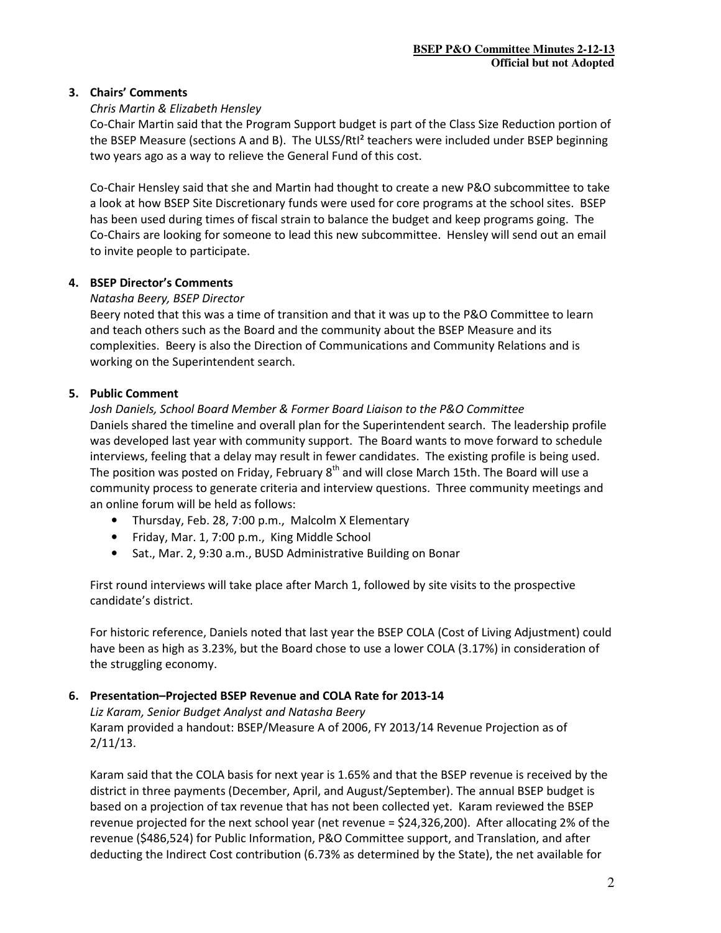#### 3. Chairs' Comments

## Chris Martin & Elizabeth Hensley

Co-Chair Martin said that the Program Support budget is part of the Class Size Reduction portion of the BSEP Measure (sections A and B). The ULSS/RtI² teachers were included under BSEP beginning two years ago as a way to relieve the General Fund of this cost.

Co-Chair Hensley said that she and Martin had thought to create a new P&O subcommittee to take a look at how BSEP Site Discretionary funds were used for core programs at the school sites. BSEP has been used during times of fiscal strain to balance the budget and keep programs going. The Co-Chairs are looking for someone to lead this new subcommittee. Hensley will send out an email to invite people to participate.

## 4. BSEP Director's Comments

## Natasha Beery, BSEP Director

Beery noted that this was a time of transition and that it was up to the P&O Committee to learn and teach others such as the Board and the community about the BSEP Measure and its complexities. Beery is also the Direction of Communications and Community Relations and is working on the Superintendent search.

## 5. Public Comment

Josh Daniels, School Board Member & Former Board Liaison to the P&O Committee Daniels shared the timeline and overall plan for the Superintendent search. The leadership profile was developed last year with community support. The Board wants to move forward to schedule interviews, feeling that a delay may result in fewer candidates. The existing profile is being used. The position was posted on Friday, February 8<sup>th</sup> and will close March 15th. The Board will use a community process to generate criteria and interview questions. Three community meetings and an online forum will be held as follows:

- Thursday, Feb. 28, 7:00 p.m., Malcolm X Elementary
- Friday, Mar. 1, 7:00 p.m., King Middle School
- Sat., Mar. 2, 9:30 a.m., BUSD Administrative Building on Bonar

First round interviews will take place after March 1, followed by site visits to the prospective candidate's district.

For historic reference, Daniels noted that last year the BSEP COLA (Cost of Living Adjustment) could have been as high as 3.23%, but the Board chose to use a lower COLA (3.17%) in consideration of the struggling economy.

## 6. Presentation–Projected BSEP Revenue and COLA Rate for 2013-14

Liz Karam, Senior Budget Analyst and Natasha Beery Karam provided a handout: BSEP/Measure A of 2006, FY 2013/14 Revenue Projection as of 2/11/13.

Karam said that the COLA basis for next year is 1.65% and that the BSEP revenue is received by the district in three payments (December, April, and August/September). The annual BSEP budget is based on a projection of tax revenue that has not been collected yet. Karam reviewed the BSEP revenue projected for the next school year (net revenue = \$24,326,200). After allocating 2% of the revenue (\$486,524) for Public Information, P&O Committee support, and Translation, and after deducting the Indirect Cost contribution (6.73% as determined by the State), the net available for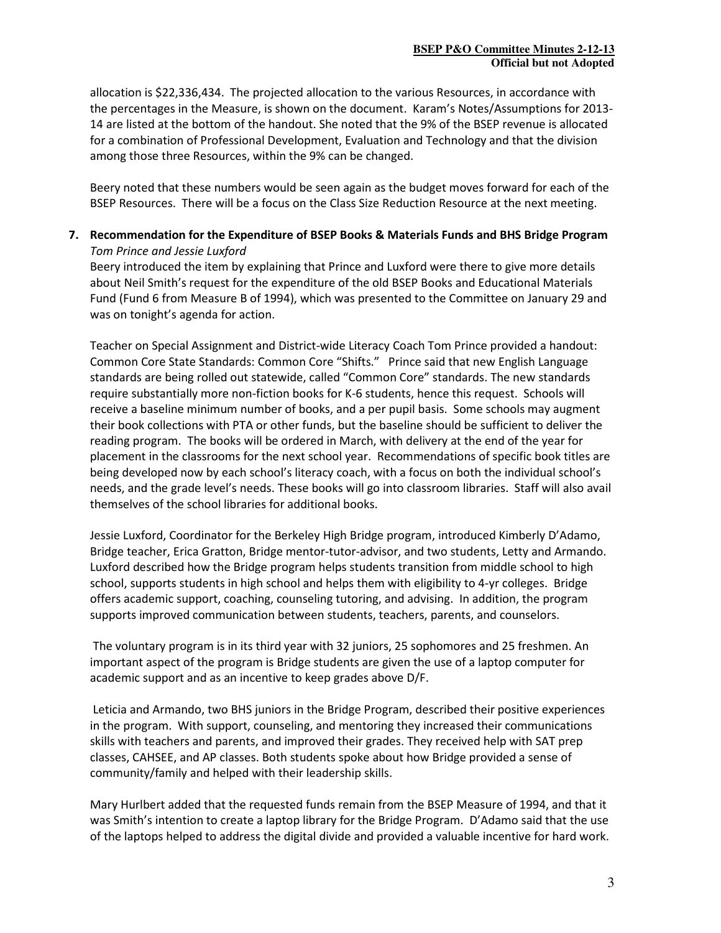allocation is \$22,336,434. The projected allocation to the various Resources, in accordance with the percentages in the Measure, is shown on the document. Karam's Notes/Assumptions for 2013- 14 are listed at the bottom of the handout. She noted that the 9% of the BSEP revenue is allocated for a combination of Professional Development, Evaluation and Technology and that the division among those three Resources, within the 9% can be changed.

Beery noted that these numbers would be seen again as the budget moves forward for each of the BSEP Resources. There will be a focus on the Class Size Reduction Resource at the next meeting.

7. Recommendation for the Expenditure of BSEP Books & Materials Funds and BHS Bridge Program Tom Prince and Jessie Luxford

Beery introduced the item by explaining that Prince and Luxford were there to give more details about Neil Smith's request for the expenditure of the old BSEP Books and Educational Materials Fund (Fund 6 from Measure B of 1994), which was presented to the Committee on January 29 and was on tonight's agenda for action.

Teacher on Special Assignment and District-wide Literacy Coach Tom Prince provided a handout: Common Core State Standards: Common Core "Shifts." Prince said that new English Language standards are being rolled out statewide, called "Common Core" standards. The new standards require substantially more non-fiction books for K-6 students, hence this request. Schools will receive a baseline minimum number of books, and a per pupil basis. Some schools may augment their book collections with PTA or other funds, but the baseline should be sufficient to deliver the reading program. The books will be ordered in March, with delivery at the end of the year for placement in the classrooms for the next school year. Recommendations of specific book titles are being developed now by each school's literacy coach, with a focus on both the individual school's needs, and the grade level's needs. These books will go into classroom libraries. Staff will also avail themselves of the school libraries for additional books.

Jessie Luxford, Coordinator for the Berkeley High Bridge program, introduced Kimberly D'Adamo, Bridge teacher, Erica Gratton, Bridge mentor-tutor-advisor, and two students, Letty and Armando. Luxford described how the Bridge program helps students transition from middle school to high school, supports students in high school and helps them with eligibility to 4-yr colleges. Bridge offers academic support, coaching, counseling tutoring, and advising. In addition, the program supports improved communication between students, teachers, parents, and counselors.

 The voluntary program is in its third year with 32 juniors, 25 sophomores and 25 freshmen. An important aspect of the program is Bridge students are given the use of a laptop computer for academic support and as an incentive to keep grades above D/F.

 Leticia and Armando, two BHS juniors in the Bridge Program, described their positive experiences in the program. With support, counseling, and mentoring they increased their communications skills with teachers and parents, and improved their grades. They received help with SAT prep classes, CAHSEE, and AP classes. Both students spoke about how Bridge provided a sense of community/family and helped with their leadership skills.

Mary Hurlbert added that the requested funds remain from the BSEP Measure of 1994, and that it was Smith's intention to create a laptop library for the Bridge Program. D'Adamo said that the use of the laptops helped to address the digital divide and provided a valuable incentive for hard work.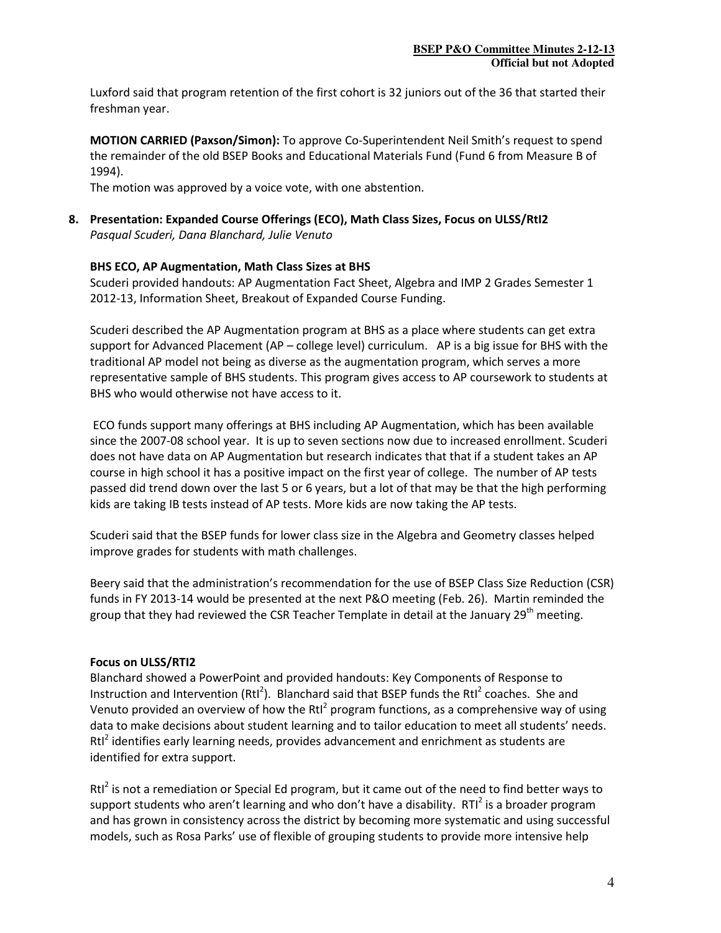Luxford said that program retention of the first cohort is 32 juniors out of the 36 that started their freshman year.

MOTION CARRIED (Paxson/Simon): To approve Co-Superintendent Neil Smith's request to spend the remainder of the old BSEP Books and Educational Materials Fund (Fund 6 from Measure B of 1994).

The motion was approved by a voice vote, with one abstention.

## 8. Presentation: Expanded Course Offerings (ECO), Math Class Sizes, Focus on ULSS/RtI2 Pasqual Scuderi, Dana Blanchard, Julie Venuto

## BHS ECO, AP Augmentation, Math Class Sizes at BHS

Scuderi provided handouts: AP Augmentation Fact Sheet, Algebra and IMP 2 Grades Semester 1 2012-13, Information Sheet, Breakout of Expanded Course Funding.

Scuderi described the AP Augmentation program at BHS as a place where students can get extra support for Advanced Placement (AP – college level) curriculum. AP is a big issue for BHS with the traditional AP model not being as diverse as the augmentation program, which serves a more representative sample of BHS students. This program gives access to AP coursework to students at BHS who would otherwise not have access to it.

 ECO funds support many offerings at BHS including AP Augmentation, which has been available since the 2007-08 school year. It is up to seven sections now due to increased enrollment. Scuderi does not have data on AP Augmentation but research indicates that that if a student takes an AP course in high school it has a positive impact on the first year of college. The number of AP tests passed did trend down over the last 5 or 6 years, but a lot of that may be that the high performing kids are taking IB tests instead of AP tests. More kids are now taking the AP tests.

Scuderi said that the BSEP funds for lower class size in the Algebra and Geometry classes helped improve grades for students with math challenges.

Beery said that the administration's recommendation for the use of BSEP Class Size Reduction (CSR) funds in FY 2013-14 would be presented at the next P&O meeting (Feb. 26). Martin reminded the group that they had reviewed the CSR Teacher Template in detail at the January 29<sup>th</sup> meeting.

#### Focus on ULSS/RTI2

Blanchard showed a PowerPoint and provided handouts: Key Components of Response to Instruction and Intervention (RtI<sup>2</sup>). Blanchard said that BSEP funds the RtI<sup>2</sup> coaches. She and Venuto provided an overview of how the RtI<sup>2</sup> program functions, as a comprehensive way of using data to make decisions about student learning and to tailor education to meet all students' needs. Rtl<sup>2</sup> identifies early learning needs, provides advancement and enrichment as students are identified for extra support.

Rtl<sup>2</sup> is not a remediation or Special Ed program, but it came out of the need to find better ways to support students who aren't learning and who don't have a disability.  $RTI^2$  is a broader program and has grown in consistency across the district by becoming more systematic and using successful models, such as Rosa Parks' use of flexible of grouping students to provide more intensive help